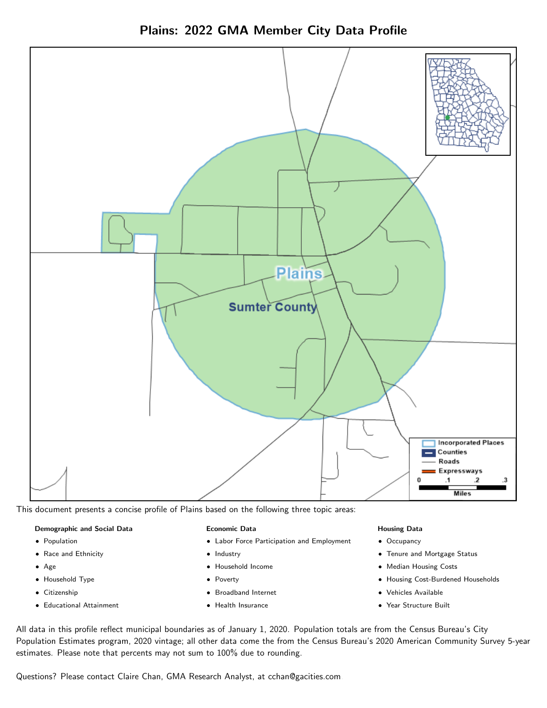



This document presents a concise profile of Plains based on the following three topic areas:

#### Demographic and Social Data

- **•** Population
- Race and Ethnicity
- Age
- Household Type
- **Citizenship**
- Educational Attainment

#### Economic Data

- Labor Force Participation and Employment
- Industry
- Household Income
- Poverty
- Broadband Internet
- Health Insurance

#### Housing Data

- Occupancy
- Tenure and Mortgage Status
- Median Housing Costs
- Housing Cost-Burdened Households
- Vehicles Available
- Year Structure Built

All data in this profile reflect municipal boundaries as of January 1, 2020. Population totals are from the Census Bureau's City Population Estimates program, 2020 vintage; all other data come the from the Census Bureau's 2020 American Community Survey 5-year estimates. Please note that percents may not sum to 100% due to rounding.

Questions? Please contact Claire Chan, GMA Research Analyst, at [cchan@gacities.com.](mailto:cchan@gacities.com)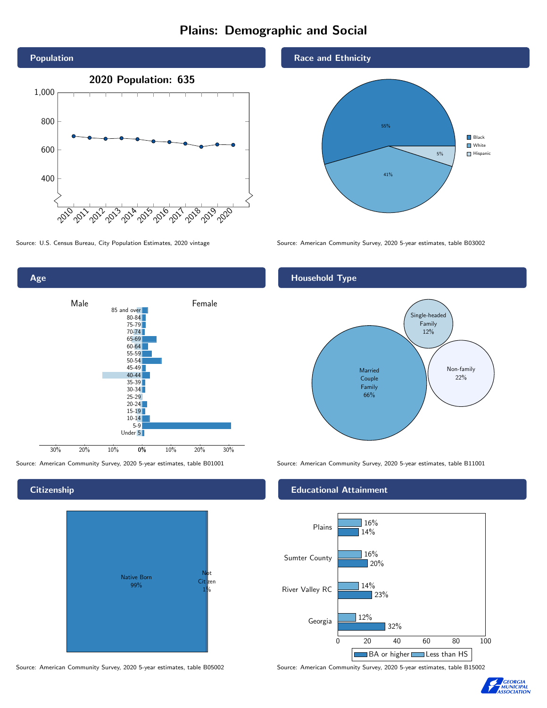# Plains: Demographic and Social



Age 0% 10% 20% 30% Male **Female** 30% 20% 10% 85 and over 80-84 75-79 70-74 65-69 60-64 55-59 50-54 45-49 40-44 35-39 30-34 25-29 20-24  $15-19$  $10-14$ 5-9 Under 5

**Citizenship** 



Source: American Community Survey, 2020 5-year estimates, table B05002 Source: American Community Survey, 2020 5-year estimates, table B15002

#### Race and Ethnicity



Source: U.S. Census Bureau, City Population Estimates, 2020 vintage Source: American Community Survey, 2020 5-year estimates, table B03002

#### Household Type



Source: American Community Survey, 2020 5-year estimates, table B01001 Source: American Community Survey, 2020 5-year estimates, table B11001

#### Educational Attainment



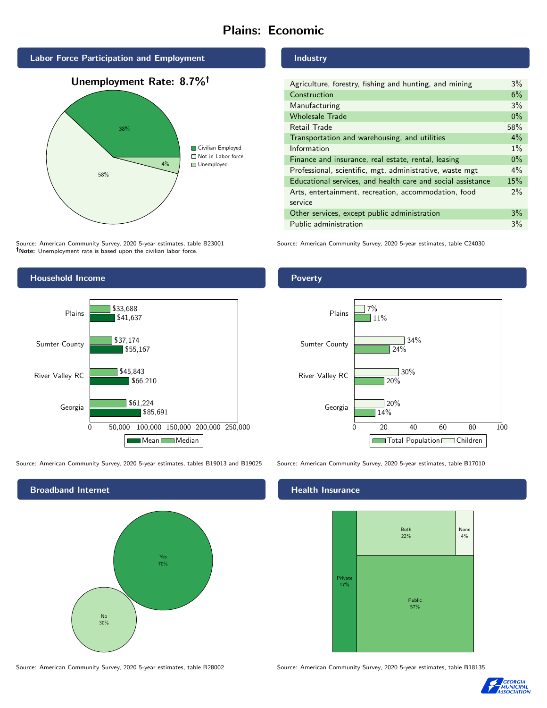# Plains: Economic







Source: American Community Survey, 2020 5-year estimates, table B23001 Note: Unemployment rate is based upon the civilian labor force.



| Agriculture, forestry, fishing and hunting, and mining      | $3\%$ |
|-------------------------------------------------------------|-------|
| Construction                                                | 6%    |
| Manufacturing                                               | 3%    |
| <b>Wholesale Trade</b>                                      | $0\%$ |
| Retail Trade                                                | 58%   |
| Transportation and warehousing, and utilities               | $4\%$ |
| Information                                                 | $1\%$ |
| Finance and insurance, real estate, rental, leasing         | $0\%$ |
| Professional, scientific, mgt, administrative, waste mgt    | $4\%$ |
| Educational services, and health care and social assistance | 15%   |
| Arts, entertainment, recreation, accommodation, food        | $2\%$ |
| service                                                     |       |
| Other services, except public administration                | 3%    |
| Public administration                                       | 3%    |

Source: American Community Survey, 2020 5-year estimates, table C24030



Source: American Community Survey, 2020 5-year estimates, tables B19013 and B19025 Source: American Community Survey, 2020 5-year estimates, table B17010



Source: American Community Survey, 2020 5-year estimates, table B28002 Source: American Community Survey, 2020 5-year estimates, table B18135



#### **Health Insurance**